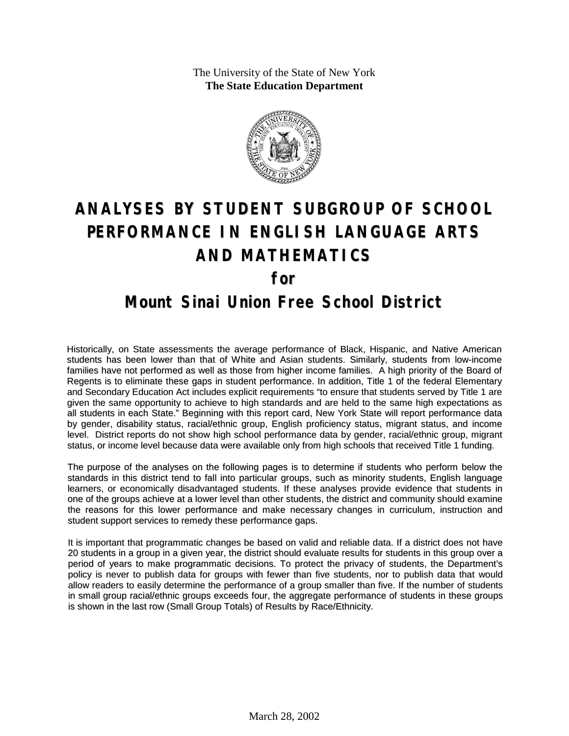The University of the State of New York **The State Education Department**



# **ANALYSES BY STUDENT SUBGROUP OF SCHOOL PERFORMANCE IN ENGLISH LANGUAGE ARTS AND MATHEMATICS for**

### **Mount Sinai Union Free School District**

Historically, on State assessments the average performance of Black, Hispanic, and Native American students has been lower than that of White and Asian students. Similarly, students from low-income families have not performed as well as those from higher income families. A high priority of the Board of Regents is to eliminate these gaps in student performance. In addition, Title 1 of the federal Elementary and Secondary Education Act includes explicit requirements "to ensure that students served by Title 1 are given the same opportunity to achieve to high standards and are held to the same high expectations as all students in each State." Beginning with this report card, New York State will report performance data by gender, disability status, racial/ethnic group, English proficiency status, migrant status, and income level. District reports do not show high school performance data by gender, racial/ethnic group, migrant status, or income level because data were available only from high schools that received Title 1 funding.

The purpose of the analyses on the following pages is to determine if students who perform below the standards in this district tend to fall into particular groups, such as minority students, English language learners, or economically disadvantaged students. If these analyses provide evidence that students in one of the groups achieve at a lower level than other students, the district and community should examine the reasons for this lower performance and make necessary changes in curriculum, instruction and student support services to remedy these performance gaps.

It is important that programmatic changes be based on valid and reliable data. If a district does not have 20 students in a group in a given year, the district should evaluate results for students in this group over a period of years to make programmatic decisions. To protect the privacy of students, the Department's policy is never to publish data for groups with fewer than five students, nor to publish data that would allow readers to easily determine the performance of a group smaller than five. If the number of students in small group racial/ethnic groups exceeds four, the aggregate performance of students in these groups is shown in the last row (Small Group Totals) of Results by Race/Ethnicity.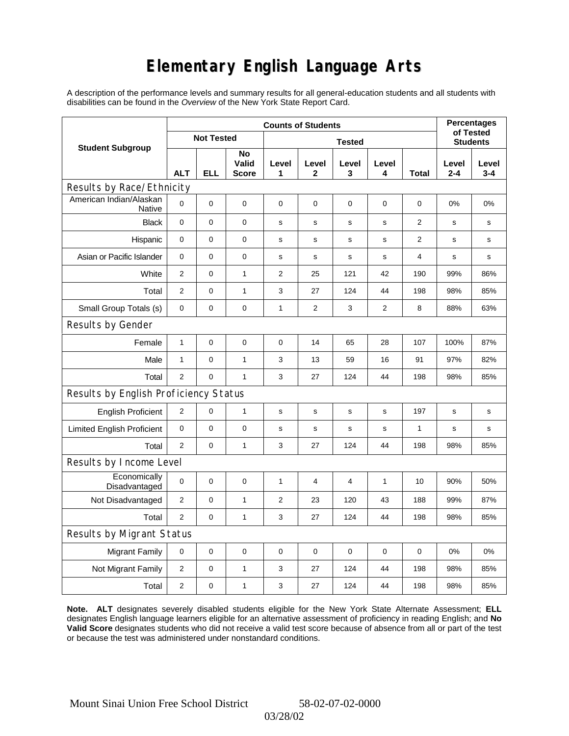# **Elementary English Language Arts**

A description of the performance levels and summary results for all general-education students and all students with disabilities can be found in the *Overview* of the New York State Report Card.

|                                          |                |                   | <b>Percentages</b><br>of Tested |             |                |              |            |                 |                  |                  |  |
|------------------------------------------|----------------|-------------------|---------------------------------|-------------|----------------|--------------|------------|-----------------|------------------|------------------|--|
| <b>Student Subgroup</b>                  |                | <b>Not Tested</b> |                                 |             |                |              |            | <b>Students</b> |                  |                  |  |
|                                          | <b>ALT</b>     | ELL               | No<br>Valid<br><b>Score</b>     | Level<br>1  | Level<br>2     | Level<br>3   | Level<br>4 | Total           | Level<br>$2 - 4$ | Level<br>$3 - 4$ |  |
| Results by Race/Ethnicity                |                |                   |                                 |             |                |              |            |                 |                  |                  |  |
| American Indian/Alaskan<br><b>Native</b> | $\mathbf 0$    | 0                 | 0                               | $\mathbf 0$ | $\mathbf 0$    | $\mathbf 0$  | 0          | 0               | 0%               | 0%               |  |
| <b>Black</b>                             | $\mathbf 0$    | 0                 | 0                               | s           | s              | S            | s          | 2               | $\mathbf s$      | $\mathbf s$      |  |
| Hispanic                                 | $\mathbf 0$    | 0                 | $\pmb{0}$                       | s           | s              | s            | s          | $\overline{2}$  | s                | s                |  |
| Asian or Pacific Islander                | 0              | 0                 | 0                               | s           | s              | $\mathbf s$  | s          | 4               | s                | s                |  |
| White                                    | $\overline{2}$ | 0                 | $\mathbf{1}$                    | 2           | 25             | 121          | 42         | 190             | 99%              | 86%              |  |
| Total                                    | $\mathbf{2}$   | 0                 | $\mathbf{1}$                    | 3           | 27             | 124          | 44         | 198             | 98%              | 85%              |  |
| Small Group Totals (s)                   | 0              | 0                 | 0                               | 1           | $\overline{c}$ | 3            | 2          | 8               | 88%              | 63%              |  |
| Results by Gender                        |                |                   |                                 |             |                |              |            |                 |                  |                  |  |
| Female                                   | $\mathbf{1}$   | 0                 | 0                               | $\mathbf 0$ | 14             | 65           | 28         | 107             | 100%             | 87%              |  |
| Male                                     | $\mathbf{1}$   | 0                 | $\mathbf{1}$                    | 3           | 13             | 59           | 16         | 91              | 97%              | 82%              |  |
| Total                                    | 2              | 0                 | $\mathbf{1}$                    | 3           | 27             | 124          | 44         | 198             | 98%              | 85%              |  |
| Results by English Proficiency Status    |                |                   |                                 |             |                |              |            |                 |                  |                  |  |
| <b>English Proficient</b>                | 2              | 0                 | $\mathbf{1}$                    | s           | s              | s            | s          | 197             | s                | $\mathbf s$      |  |
| <b>Limited English Proficient</b>        | 0              | 0                 | 0                               | s           | s              | $\mathsf{s}$ | s          | $\mathbf{1}$    | s                | s                |  |
| Total                                    | 2              | 0                 | 1                               | 3           | 27             | 124          | 44         | 198             | 98%              | 85%              |  |
| Results by Income Level                  |                |                   |                                 |             |                |              |            |                 |                  |                  |  |
| Economically<br>Disadvantaged            | $\mathbf 0$    | 0                 | $\mathbf 0$                     | 1           | 4              | 4            | 1          | 10              | 90%              | 50%              |  |
| Not Disadvantaged                        | 2              | 0                 | $\mathbf{1}$                    | 2           | 23             | 120          | 43         | 188             | 99%              | 87%              |  |
| Total                                    | $\mathbf{2}$   | $\Omega$          | $\mathbf{1}$                    | 3           | 27             | 124          | 44         | 198             | 98%              | 85%              |  |
| Results by Migrant Status                |                |                   |                                 |             |                |              |            |                 |                  |                  |  |
| <b>Migrant Family</b>                    | 0              | 0                 | $\pmb{0}$                       | 0           | 0              | $\mathbf 0$  | 0          | 0               | 0%               | 0%               |  |
| Not Migrant Family                       | $\overline{2}$ | 0                 | $\mathbf{1}$                    | 3           | 27             | 124          | 44         | 198             | 98%              | 85%              |  |
| Total                                    | 2              | 0                 | $\mathbf{1}$                    | 3           | 27             | 124          | 44         | 198             | 98%              | 85%              |  |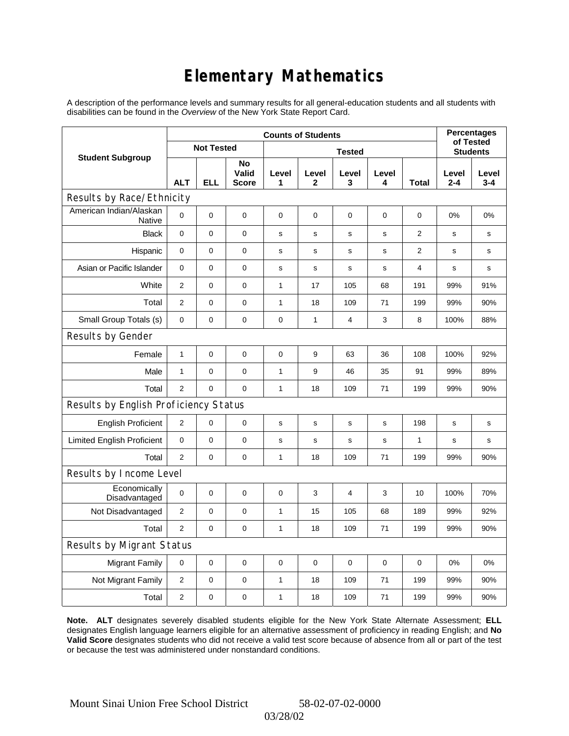# **Elementary Mathematics**

A description of the performance levels and summary results for all general-education students and all students with disabilities can be found in the *Overview* of the New York State Report Card.

|                                       | <b>Counts of Students</b> |                   |                             |              |                       |             |                 |              | <b>Percentages</b><br>of Tested |                  |
|---------------------------------------|---------------------------|-------------------|-----------------------------|--------------|-----------------------|-------------|-----------------|--------------|---------------------------------|------------------|
| <b>Student Subgroup</b>               |                           | <b>Not Tested</b> |                             |              |                       |             | <b>Students</b> |              |                                 |                  |
|                                       | <b>ALT</b>                | <b>ELL</b>        | No<br>Valid<br><b>Score</b> | Level<br>1   | Level<br>$\mathbf{2}$ | Level<br>3  | Level<br>4      | <b>Total</b> | Level<br>$2 - 4$                | Level<br>$3 - 4$ |
| Results by Race/Ethnicity             |                           |                   |                             |              |                       |             |                 |              |                                 |                  |
| American Indian/Alaskan<br>Native     | 0                         | $\mathbf 0$       | $\mathbf 0$                 | $\mathbf 0$  | 0                     | 0           | 0               | 0            | $0\%$                           | 0%               |
| <b>Black</b>                          | 0                         | 0                 | $\pmb{0}$                   | $\mathbf s$  | $\mathbf s$           | $\mathbf s$ | $\mathbf s$     | 2            | s                               | s                |
| Hispanic                              | 0                         | $\mathsf 0$       | $\pmb{0}$                   | s            | s                     | s           | s               | 2            | s                               | s                |
| Asian or Pacific Islander             | $\mathbf 0$               | 0                 | $\mathbf 0$                 | $\mathbf s$  | $\mathbf s$           | s           | $\mathbf s$     | 4            | s                               | s                |
| White                                 | $\overline{2}$            | $\overline{0}$    | $\pmb{0}$                   | $\mathbf{1}$ | 17                    | 105         | 68              | 191          | 99%                             | 91%              |
| Total                                 | $\overline{2}$            | 0                 | $\pmb{0}$                   | 1            | 18                    | 109         | 71              | 199          | 99%                             | 90%              |
| Small Group Totals (s)                | $\mathbf 0$               | 0                 | $\pmb{0}$                   | 0            | $\mathbf{1}$          | 4           | 3               | 8            | 100%                            | 88%              |
| Results by Gender                     |                           |                   |                             |              |                       |             |                 |              |                                 |                  |
| Female                                | $\mathbf{1}$              | 0                 | $\pmb{0}$                   | $\pmb{0}$    | 9                     | 63          | 36              | 108          | 100%                            | 92%              |
| Male                                  | 1                         | 0                 | 0                           | 1            | 9                     | 46          | 35              | 91           | 99%                             | 89%              |
| Total                                 | $\overline{2}$            | 0                 | $\mathbf 0$                 | $\mathbf{1}$ | 18                    | 109         | 71              | 199          | 99%                             | 90%              |
| Results by English Proficiency Status |                           |                   |                             |              |                       |             |                 |              |                                 |                  |
| <b>English Proficient</b>             | $\mathbf{2}$              | 0                 | $\mathbf 0$                 | $\mathbf s$  | s                     | s           | s               | 198          | s                               | $\mathbf s$      |
| <b>Limited English Proficient</b>     | 0                         | 0                 | $\pmb{0}$                   | $\mathbf s$  | $\mathbf S$           | $\mathbf s$ | s               | $\mathbf{1}$ | s                               | s                |
| Total                                 | $\overline{2}$            | 0                 | 0                           | 1            | 18                    | 109         | 71              | 199          | 99%                             | 90%              |
| Results by Income Level               |                           |                   |                             |              |                       |             |                 |              |                                 |                  |
| Economically<br>Disadvantaged         | $\pmb{0}$                 | 0                 | $\mathbf 0$                 | $\mathbf 0$  | 3                     | 4           | 3               | 10           | 100%                            | 70%              |
| Not Disadvantaged                     | 2                         | 0                 | $\mathbf 0$                 | $\mathbf{1}$ | 15                    | 105         | 68              | 189          | 99%                             | 92%              |
| Total                                 | $\overline{2}$            | $\mathbf 0$       | 0                           | 1            | 18                    | 109         | 71              | 199          | 99%                             | 90%              |
| Results by Migrant Status             |                           |                   |                             |              |                       |             |                 |              |                                 |                  |
| <b>Migrant Family</b>                 | $\mathbf 0$               | 0                 | $\pmb{0}$                   | $\pmb{0}$    | $\mathbf 0$           | 0           | 0               | $\mathbf 0$  | 0%                              | 0%               |
| Not Migrant Family                    | $\overline{c}$            | 0                 | 0                           | 1            | 18                    | 109         | 71              | 199          | 99%                             | 90%              |
| Total                                 | $\overline{2}$            | 0                 | 0                           | 1            | 18                    | 109         | 71              | 199          | 99%                             | 90%              |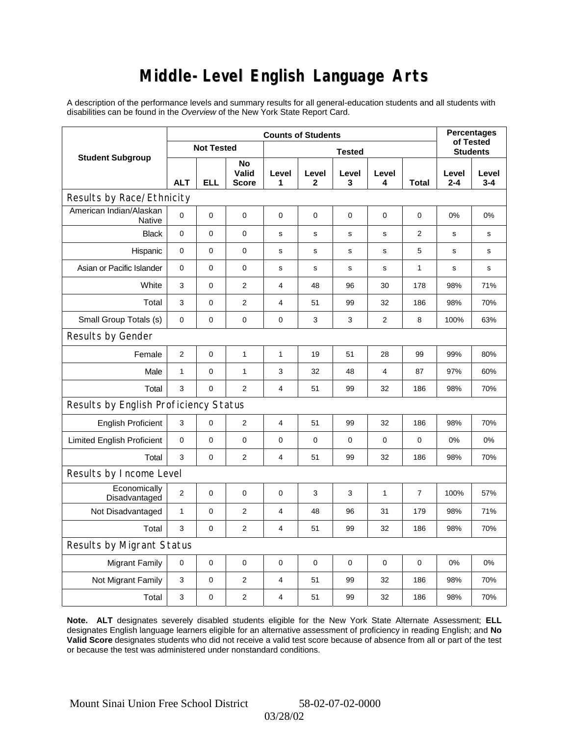## **Middle-Level English Language Arts**

A description of the performance levels and summary results for all general-education students and all students with disabilities can be found in the *Overview* of the New York State Report Card.

|                                       |                | <b>Percentages</b><br>of Tested |                      |                |             |                 |                |             |              |              |  |
|---------------------------------------|----------------|---------------------------------|----------------------|----------------|-------------|-----------------|----------------|-------------|--------------|--------------|--|
| <b>Student Subgroup</b>               |                | <b>Not Tested</b>               |                      |                |             | <b>Students</b> |                |             |              |              |  |
|                                       | <b>ALT</b>     | <b>ELL</b>                      | No<br>Valid<br>Score | Level<br>1     | Level<br>2  | Level<br>3      | Level<br>4     | Total       | Level<br>2-4 | Level<br>3-4 |  |
| Results by Race/Ethnicity             |                |                                 |                      |                |             |                 |                |             |              |              |  |
| American Indian/Alaskan<br>Native     | 0              | $\mathbf 0$                     | $\mathbf 0$          | $\mathbf 0$    | $\mathbf 0$ | $\mathbf 0$     | $\mathbf 0$    | $\mathbf 0$ | 0%           | 0%           |  |
| <b>Black</b>                          | $\mathbf 0$    | 0                               | $\mathbf 0$          | s              | s           | s               | $\mathbf s$    | 2           | s            | s            |  |
| Hispanic                              | 0              | $\mathbf 0$                     | $\pmb{0}$            | s              | s           | s               | s              | 5           | s            | s            |  |
| Asian or Pacific Islander             | 0              | 0                               | 0                    | s              | $\mathbf s$ | $\mathbf s$     | $\mathbf s$    | 1           | $\mathbf s$  | s            |  |
| White                                 | 3              | 0                               | $\mathbf{2}$         | $\overline{4}$ | 48          | 96              | 30             | 178         | 98%          | 71%          |  |
| Total                                 | 3              | 0                               | $\mathbf{2}$         | $\overline{4}$ | 51          | 99              | 32             | 186         | 98%          | 70%          |  |
| Small Group Totals (s)                | $\mathbf 0$    | 0                               | $\mathbf 0$          | $\pmb{0}$      | 3           | 3               | $\overline{2}$ | 8           | 100%         | 63%          |  |
| Results by Gender                     |                |                                 |                      |                |             |                 |                |             |              |              |  |
| Female                                | $\overline{2}$ | $\mathsf 0$                     | $\mathbf{1}$         | 1              | 19          | 51              | 28             | 99          | 99%          | 80%          |  |
| Male                                  | $\mathbf{1}$   | 0                               | $\mathbf{1}$         | 3              | 32          | 48              | 4              | 87          | 97%          | 60%          |  |
| Total                                 | 3              | $\overline{0}$                  | $\overline{2}$       | $\overline{4}$ | 51          | 99              | 32             | 186         | 98%          | 70%          |  |
| Results by English Proficiency Status |                |                                 |                      |                |             |                 |                |             |              |              |  |
| <b>English Proficient</b>             | 3              | 0                               | $\overline{2}$       | 4              | 51          | 99              | 32             | 186         | 98%          | 70%          |  |
| <b>Limited English Proficient</b>     | 0              | 0                               | $\pmb{0}$            | $\pmb{0}$      | $\mathbf 0$ | 0               | 0              | $\mathbf 0$ | 0%           | 0%           |  |
| Total                                 | 3              | 0                               | $\mathbf{2}$         | $\overline{4}$ | 51          | 99              | 32             | 186         | 98%          | 70%          |  |
| Results by Income Level               |                |                                 |                      |                |             |                 |                |             |              |              |  |
| Economically<br>Disadvantaged         | $\overline{2}$ | 0                               | $\mathbf 0$          | $\pmb{0}$      | 3           | 3               | 1              | 7           | 100%         | 57%          |  |
| Not Disadvantaged                     | 1              | $\mathbf 0$                     | $\mathbf{2}$         | $\overline{4}$ | 48          | 96              | 31             | 179         | 98%          | 71%          |  |
| Total                                 | 3              | $\mathbf 0$                     | 2                    | $\overline{4}$ | 51          | 99              | 32             | 186         | 98%          | 70%          |  |
| Results by Migrant Status             |                |                                 |                      |                |             |                 |                |             |              |              |  |
| <b>Migrant Family</b>                 | 0              | 0                               | $\pmb{0}$            | $\mathbf 0$    | $\mathbf 0$ | 0               | $\mathbf 0$    | $\mathbf 0$ | 0%           | 0%           |  |
| Not Migrant Family                    | 3              | $\mathbf 0$                     | $\mathbf{2}$         | 4              | 51          | 99              | 32             | 186         | 98%          | 70%          |  |
| Total                                 | 3              | 0                               | $\mathbf{2}$         | $\overline{4}$ | 51          | 99              | 32             | 186         | 98%          | 70%          |  |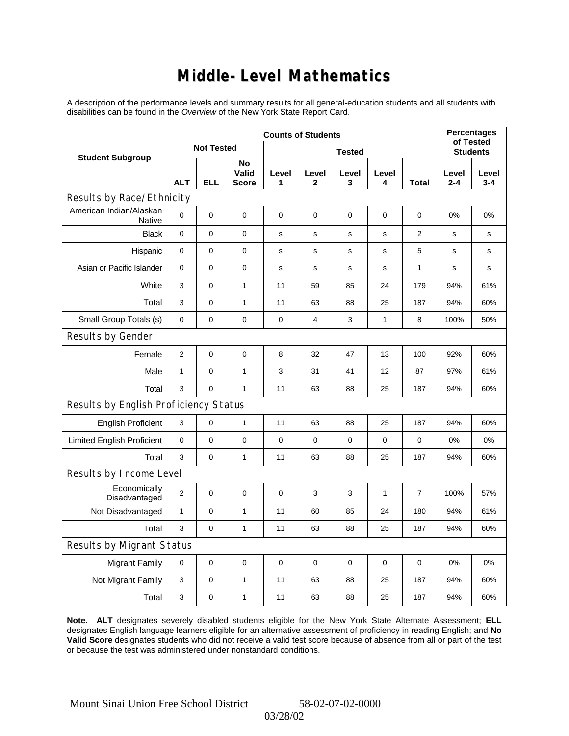### **Middle-Level Mathematics**

A description of the performance levels and summary results for all general-education students and all students with disabilities can be found in the *Overview* of the New York State Report Card.

|                                       | <b>Counts of Students</b> |                   |                             |             |                       |                 |              |                |                  | <b>Percentages</b><br>of Tested |  |
|---------------------------------------|---------------------------|-------------------|-----------------------------|-------------|-----------------------|-----------------|--------------|----------------|------------------|---------------------------------|--|
| <b>Student Subgroup</b>               |                           | <b>Not Tested</b> |                             |             |                       | <b>Students</b> |              |                |                  |                                 |  |
|                                       | <b>ALT</b>                | <b>ELL</b>        | No<br>Valid<br><b>Score</b> | Level<br>1  | Level<br>$\mathbf{2}$ | Level<br>3      | Level<br>4   | <b>Total</b>   | Level<br>$2 - 4$ | Level<br>$3 - 4$                |  |
| Results by Race/Ethnicity             |                           |                   |                             |             |                       |                 |              |                |                  |                                 |  |
| American Indian/Alaskan<br>Native     | $\Omega$                  | 0                 | 0                           | $\mathbf 0$ | $\mathbf 0$           | 0               | $\mathbf 0$  | $\mathbf 0$    | 0%               | 0%                              |  |
| <b>Black</b>                          | 0                         | 0                 | $\pmb{0}$                   | $\mathbf s$ | $\mathsf{s}$          | $\mathbf s$     | s            | $\overline{2}$ | $\mathbf s$      | s                               |  |
| Hispanic                              | 0                         | 0                 | $\pmb{0}$                   | $\mathbf s$ | $\mathbf s$           | $\mathbf s$     | $\mathbf s$  | 5              | $\mathbf s$      | s                               |  |
| Asian or Pacific Islander             | 0                         | 0                 | $\mathbf 0$                 | $\mathbf s$ | s                     | s               | s            | $\mathbf{1}$   | s                | s                               |  |
| White                                 | 3                         | 0                 | $\mathbf{1}$                | 11          | 59                    | 85              | 24           | 179            | 94%              | 61%                             |  |
| Total                                 | 3                         | 0                 | $\mathbf{1}$                | 11          | 63                    | 88              | 25           | 187            | 94%              | 60%                             |  |
| Small Group Totals (s)                | $\mathbf 0$               | 0                 | $\mathbf 0$                 | $\pmb{0}$   | 4                     | 3               | 1            | 8              | 100%             | 50%                             |  |
| Results by Gender                     |                           |                   |                             |             |                       |                 |              |                |                  |                                 |  |
| Female                                | $\overline{2}$            | 0                 | $\pmb{0}$                   | 8           | 32                    | 47              | 13           | 100            | 92%              | 60%                             |  |
| Male                                  | $\mathbf{1}$              | 0                 | $\mathbf{1}$                | 3           | 31                    | 41              | 12           | 87             | 97%              | 61%                             |  |
| Total                                 | 3                         | 0                 | $\mathbf{1}$                | 11          | 63                    | 88              | 25           | 187            | 94%              | 60%                             |  |
| Results by English Proficiency Status |                           |                   |                             |             |                       |                 |              |                |                  |                                 |  |
| <b>English Proficient</b>             | 3                         | 0                 | $\mathbf{1}$                | 11          | 63                    | 88              | 25           | 187            | 94%              | 60%                             |  |
| <b>Limited English Proficient</b>     | 0                         | 0                 | $\pmb{0}$                   | $\pmb{0}$   | $\mathbf 0$           | 0               | $\mathbf 0$  | 0              | 0%               | 0%                              |  |
| Total                                 | 3                         | 0                 | $\mathbf{1}$                | 11          | 63                    | 88              | 25           | 187            | 94%              | 60%                             |  |
| Results by Income Level               |                           |                   |                             |             |                       |                 |              |                |                  |                                 |  |
| Economically<br>Disadvantaged         | $\overline{2}$            | 0                 | 0                           | $\mathbf 0$ | 3                     | 3               | $\mathbf{1}$ | $\overline{7}$ | 100%             | 57%                             |  |
| Not Disadvantaged                     | 1                         | 0                 | $\mathbf{1}$                | 11          | 60                    | 85              | 24           | 180            | 94%              | 61%                             |  |
| Total                                 | 3                         | $\overline{0}$    | $\mathbf{1}$                | 11          | 63                    | 88              | 25           | 187            | 94%              | 60%                             |  |
| <b>Results by Migrant Status</b>      |                           |                   |                             |             |                       |                 |              |                |                  |                                 |  |
| <b>Migrant Family</b>                 | 0                         | 0                 | 0                           | $\mathbf 0$ | 0                     | 0               | $\mathbf 0$  | $\mathbf 0$    | 0%               | 0%                              |  |
| Not Migrant Family                    | 3                         | $\mathsf 0$       | $\mathbf{1}$                | 11          | 63                    | 88              | 25           | 187            | 94%              | 60%                             |  |
| Total                                 | 3                         | 0                 | $\mathbf{1}$                | 11          | 63                    | 88              | 25           | 187            | 94%              | 60%                             |  |